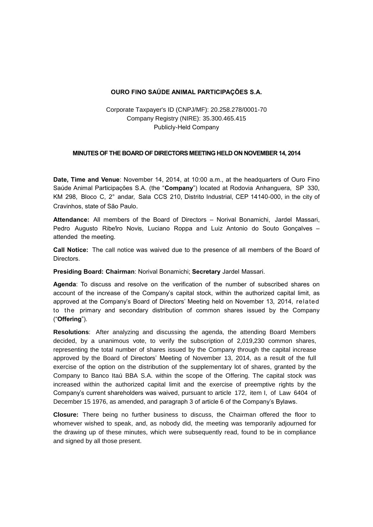## **OURO FINO SAÚDE ANIMAL PARTICIPAÇÕES S.A.**

Corporate Taxpayer's ID (CNPJ/MF): 20.258.278/0001-70 Company Registry (NIRE): 35.300.465.415 Publicly-Held Company

## **MINUTES OF THE BOARD OF DIRECTORS MEETING HELD ON NOVEMBER 14, 2014**

**Date, Time and Venue**: November 14, 2014, at 10:00 a.m., at the headquarters of Ouro Fino Saúde Animal Participações S.A. (the "**Company**") located at Rodovia Anhanguera, SP 330, KM 298, Bloco C, 2° andar, Sala CCS 210, Distrito Industrial, CEP 14140-000, in the city of Cravinhos, state of São Paulo.

**Attendance:** All members of the Board of Directors – Norival Bonamichi, Jardel Massari, Pedro Augusto Ribe'iro Novis, Luciano Roppa and Luiz Antonio do Souto Gonçalves – attended the meeting.

**Call Notice:** The call notice was waived due to the presence of all members of the Board of Directors.

**Presiding Board: Chairman**: Norival Bonamichi; **Secretary** Jardel Massari.

**Agenda**: To discuss and resolve on the verification of the number of subscribed shares on account of the increase of the Company's capital stock, within the authorized capital limit, as approved at the Company's Board of Directors' Meeting held on November 13, 2014, related to the primary and secondary distribution of common shares issued by the Company ("**Offering**").

**Resolutions**: After analyzing and discussing the agenda, the attending Board Members decided, by a unanimous vote, to verify the subscription of 2,019,230 common shares, representing the total number of shares issued by the Company through the capital increase approved by the Board of Directors' Meeting of November 13, 2014, as a result of the full exercise of the option on the distribution of the supplementary lot of shares, granted by the Company to Banco Itaú BBA S.A. within the scope of the Offering. The capital stock was increased within the authorized capital limit and the exercise of preemptive rights by the Company's current shareholders was waived, pursuant to article 172, item I, of Law 6404 of December 15 1976, as amended, and paragraph 3 of article 6 of the Company's Bylaws.

**Closure:** There being no further business to discuss, the Chairman offered the floor to whomever wished to speak, and, as nobody did, the meeting was temporarily adjourned for the drawing up of these minutes, which were subsequently read, found to be in compliance and signed by all those present.